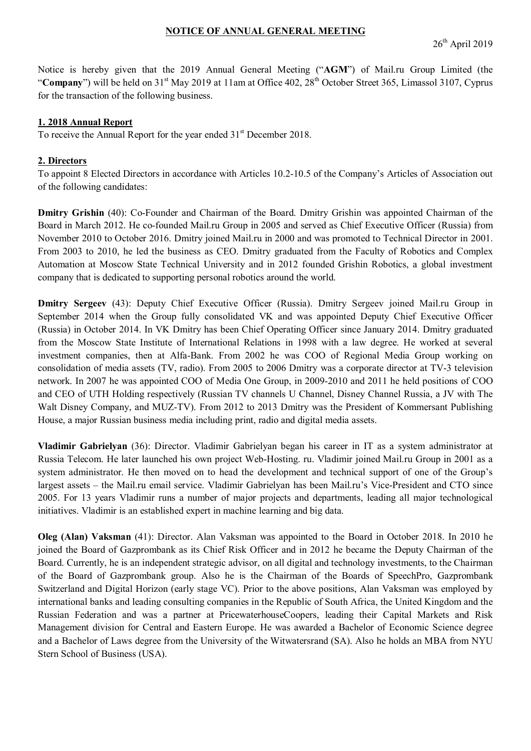# **NOTICE OF ANNUAL GENERAL MEETING**

Notice is hereby given that the 2019 Annual General Meeting ("**AGM**") of Mail.ru Group Limited (the "Company") will be held on 31<sup>st</sup> May 2019 at 11am at Office 402, 28<sup>th</sup> October Street 365, Limassol 3107, Cyprus for the transaction of the following business.

# **1. 2018 Annual Report**

To receive the Annual Report for the year ended  $31<sup>st</sup>$  December 2018.

### **2. Directors**

To appoint 8 Elected Directors in accordance with Articles 10.2-10.5 of the Company's Articles of Association out of the following candidates:

**Dmitry Grishin** (40): Co-Founder and Chairman of the Board. Dmitry Grishin was appointed Chairman of the Board in March 2012. He co-founded Mail.ru Group in 2005 and served as Chief Executive Officer (Russia) from November 2010 to October 2016. Dmitry joined Mail.ru in 2000 and was promoted to Technical Director in 2001. From 2003 to 2010, he led the business as CEO. Dmitry graduated from the Faculty of Robotics and Complex Automation at Moscow State Technical University and in 2012 founded Grishin Robotics, a global investment company that is dedicated to supporting personal robotics around the world.

**Dmitry Sergeev** (43): Deputy Chief Executive Officer (Russia). Dmitry Sergeev joined Mail.ru Group in September 2014 when the Group fully consolidated VK and was appointed Deputy Chief Executive Officer (Russia) in October 2014. In VK Dmitry has been Chief Operating Officer since January 2014. Dmitry graduated from the Moscow State Institute of International Relations in 1998 with a law degree. He worked at several investment companies, then at Alfa-Bank. From 2002 he was COO of Regional Media Group working on consolidation of media assets (TV, radio). From 2005 to 2006 Dmitry was a corporate director at TV-3 television network. In 2007 he was appointed COO of Media One Group, in 2009-2010 and 2011 he held positions of COO and CEO of UTH Holding respectively (Russian TV channels U Channel, Disney Channel Russia, a JV with The Walt Disney Company, and MUZ-TV). From 2012 to 2013 Dmitry was the President of Kommersant Publishing House, a major Russian business media including print, radio and digital media assets.

**Vladimir Gabrielyan** (36): Director. Vladimir Gabrielyan began his career in IT as a system administrator at Russia Telecom. He later launched his own project Web-Hosting. ru. Vladimir joined Mail.ru Group in 2001 as a system administrator. He then moved on to head the development and technical support of one of the Group's largest assets – the Mail.ru email service. Vladimir Gabrielyan has been Mail.ru's Vice-President and CTO since 2005. For 13 years Vladimir runs a number of major projects and departments, leading all major technological initiatives. Vladimir is an established expert in machine learning and big data.

**Oleg (Alan) Vaksman** (41): Director. Alan Vaksman was appointed to the Board in October 2018. In 2010 he joined the Board of Gazprombank as its Chief Risk Officer and in 2012 he became the Deputy Chairman of the Board. Currently, he is an independent strategic advisor, on all digital and technology investments, to the Chairman of the Board of Gazprombank group. Also he is the Chairman of the Boards of SpeechPro, Gazprombank Switzerland and Digital Horizon (early stage VC). Prior to the above positions, Alan Vaksman was employed by international banks and leading consulting companies in the Republic of South Africa, the United Kingdom and the Russian Federation and was a partner at PricewaterhouseCoopers, leading their Capital Markets and Risk Management division for Central and Eastern Europe. He was awarded a Bachelor of Economic Science degree and a Bachelor of Laws degree from the University of the Witwatersrand (SA). Also he holds an MBA from NYU Stern School of Business (USA).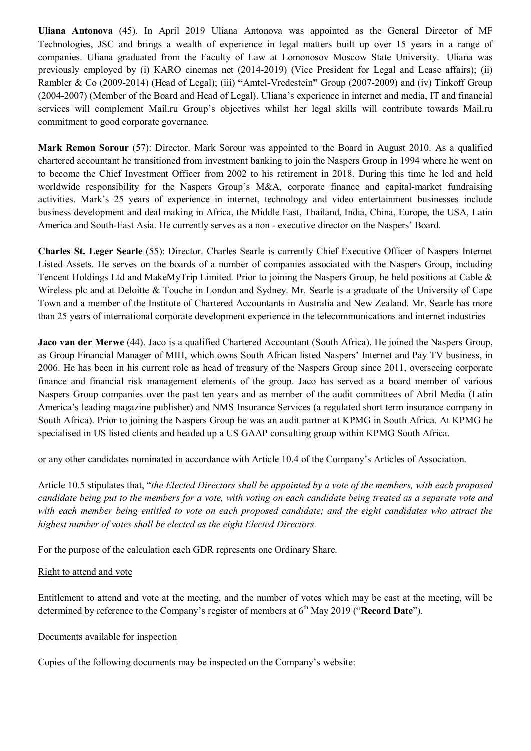**Uliana Antonova** (45). In April 2019 Uliana Antonova was appointed as the General Director of MF Technologies, JSC and brings a wealth of experience in legal matters built up over 15 years in a range of companies. Uliana graduated from the Faculty of Law at Lomonosov Moscow State University. Uliana was previously employed by (i) КАRО cinemas net (2014-2019) (Vice President for Legal and Lease affairs); (ii) Rambler & Co (2009-2014) (Head of Legal); (iii) **"**Amtel*-*Vredestein**"** Group (2007-2009) and (iv) Tinkoff Group (2004-2007) (Member of the Board and Head of Legal). Uliana's experience in internet and media, IT and financial services will complement Mail.ru Group's objectives whilst her legal skills will contribute towards Mail.ru commitment to good corporate governance.

**Mark Remon Sorour** (57): Director. Mark Sorour was appointed to the Board in August 2010. As a qualified chartered accountant he transitioned from investment banking to join the Naspers Group in 1994 where he went on to become the Chief Investment Officer from 2002 to his retirement in 2018. During this time he led and held worldwide responsibility for the Naspers Group's M&A, corporate finance and capital-market fundraising activities. Mark's 25 years of experience in internet, technology and video entertainment businesses include business development and deal making in Africa, the Middle East, Thailand, India, China, Europe, the USA, Latin America and South-East Asia. He currently serves as a non - executive director on the Naspers' Board.

**Charles St. Leger Searle** (55): Director. Charles Searle is currently Chief Executive Officer of Naspers Internet Listed Assets. He serves on the boards of a number of companies associated with the Naspers Group, including Tencent Holdings Ltd and MakeMyTrip Limited. Prior to joining the Naspers Group, he held positions at Cable & Wireless plc and at Deloitte & Touche in London and Sydney. Mr. Searle is a graduate of the University of Cape Town and a member of the Institute of Chartered Accountants in Australia and New Zealand. Mr. Searle has more than 25 years of international corporate development experience in the telecommunications and internet industries

**Jaco van der Merwe** (44). Jaco is a qualified Chartered Accountant (South Africa). He joined the Naspers Group, as Group Financial Manager of MIH, which owns South African listed Naspers' Internet and Pay TV business, in 2006. He has been in his current role as head of treasury of the Naspers Group since 2011, overseeing corporate finance and financial risk management elements of the group. Jaco has served as a board member of various Naspers Group companies over the past ten years and as member of the audit committees of Abril Media (Latin America's leading magazine publisher) and NMS Insurance Services (a regulated short term insurance company in South Africa). Prior to joining the Naspers Group he was an audit partner at KPMG in South Africa. At KPMG he specialised in US listed clients and headed up a US GAAP consulting group within KPMG South Africa.

or any other candidates nominated in accordance with Article 10.4 of the Company's Articles of Association.

Article 10.5 stipulates that, "*the Elected Directors shall be appointed by a vote of the members, with each proposed candidate being put to the members for a vote, with voting on each candidate being treated as a separate vote and with each member being entitled to vote on each proposed candidate; and the eight candidates who attract the highest number of votes shall be elected as the eight Elected Directors.*

For the purpose of the calculation each GDR represents one Ordinary Share.

### Right to attend and vote

Entitlement to attend and vote at the meeting, and the number of votes which may be cast at the meeting, will be determined by reference to the Company's register of members at 6<sup>th</sup> May 2019 ("**Record Date**").

### Documents available for inspection

Copies of the following documents may be inspected on the Company's website: